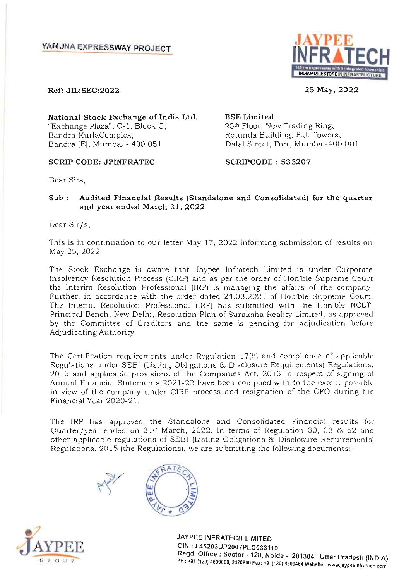

**25 May, 2022** 

**Ref: JIL:SEC:2022** 

**National Stock Exchange of India Ltd.**  "Exchange Plaza", C- 1, Block G, Bandra-KurlaComplex, Bandra (E), Mumbai - 400 051 Dalal Street, Fort, Mumbai-400 001

### **SCRIP CODE: JPINFRATEC SCRIPCODE : 533207**

25th Floor, New Trading Ring, Rotunda Building, P.J. Towers,

**BSE Limited** 

Dear Sirs,

**Sub : Audited Financial Results (Standalone and Consolidated) for the quarter and year ended March 31, 2022** 

Dear Sir/s,

This is in continuation to our letter May 17,2022 informing submission of results on May 25, 2022.

The Stock Exchange is aware that Jaypee lnfratech Limited is under Corporate Insolvency Resolution Process (CIRP) and as per the order of Hon 'ble Supreme Court the Interim Resolution Professional (IRP) is managing the affairs of the company. Further, in accordance with the order dated 24.03.2021 of Hon'ble Supreme Court, The Interim Resolution Professional (IRP) has submitted with the Hon 'ble NCLT, Principal Bench, New Delhi, Resolution Plan of Suraksha Reality Limited, as approved by the Committee of Creditors and the same is pending for adjudication before by the Committee of Creditors and the same is pending for adjudication before Adjudicating Authority.

The Certification requirements under Regulation 17(8) and compliance of applicable re Germication requirements under Regulation 17(6) and compitance or applicable egulations under SEDI (Eisting Obligations & Disclosure Requirements) Regulations, Are and applicable provisions of the Companies Act, 2013 in respect of signing of in view of the company under CIRP process and resignation of the CFO during the in view of the company under CIRP process and resignation of the CFO during the Financial Year 2020-21.

The IRP has approved the Standalone and Consolidated Financial results for ne ikr has approved the standatone and Consondated Financial results for uarier/ year ended on ST warding 2022. In terms of Regulation SO, SS & S2 and<br>ther emplicable regulations of SEBI (Listing Obligations & Disclosure Requirements) other applicable regulations of SEBI (Listing Obligations & Disclosure Requirements)<br>Regulations, 2015 (the Regulations), we are submitting the following documents:-







**JAYPEE INFRATECH LIMITED CIN: L45203UP2007PLC033119 Regd. Office: Sector ·128, Noida - 201304, Uttar Pradesh (INDIA) Ph.: +91 (120) 4600000 STREET, NOIGH - 201304, UTTAI Pradesh (INDIA)**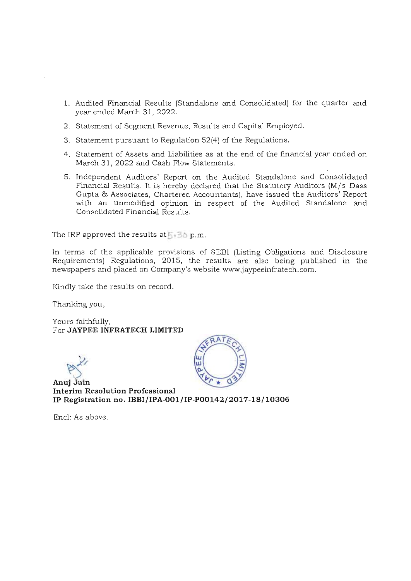- 1. Audited Financial Results (Standalone and Consolidated) for the quarter and year ended March 31,2022.
- 2. Statement of Segment Revenue, Results and Capital Employed.
- 3. Statement pursuant to Regulation 52(4) of the Regulations.
- 4. Statement of Assets and Liabilities as at the end of the financial year ended on March 31, 2022 and Cash Flow Statements.
- 5. Independent Auditors' Report on the Audited Standalone and Consolidated Financial Results. It is hereby declared that the Statutory Auditors (M/s Dass Gupta & Associates, Chartered Accountants), have issued the Auditors' Report with an unmodified opinion in respect of the Audited Standalone and Consolidated Financial Results.

The IRP approved the results at  $5.36$  p.m.

In terms of the applicable provisions of SEBI (Listing Obligations and Disclosure Requirements) Regulations, 2015, the results are also being published in the newspapers and placed on Company's website www.jaypeeinfratech.com.

Kindly take the results on record.

Thanking you,

Yours faithfully, For **JAYPEE INFRATECH LIMITED** 

 $M$ 

**Anuj Jain Interim Resolution Professional IP Registration no. IBBI/IPA-001/IP-POOI42/2017-18/ 10306** 

Encl: As above.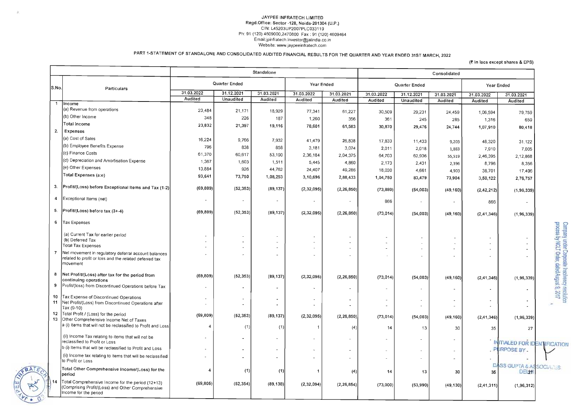#### JAYPEE INFRATECH LIMITED Regd.Office: Sector -128, Noida-201304 (U.P.) CIN: L45203UP2007PLC033119 Ph: 91 (120) 4609000,2470800 Fax : 91 (120) 4609464 Email:jpinfralech .investor@jalindia.co.in Website: www.jaypeeinfratech.com

PART l-STATEMENT OF STANDALONE AND CONSOLIDATED AUDITED FINANCIAL RESULTS FOR THE QUARTER AND YEAR ENDED 31ST MARCH, 2022

|                |                                                                                                                                 |                              |                                      | Standalone |                          |                          |            |                          | Consolidated             |                |                                      |
|----------------|---------------------------------------------------------------------------------------------------------------------------------|------------------------------|--------------------------------------|------------|--------------------------|--------------------------|------------|--------------------------|--------------------------|----------------|--------------------------------------|
| S.No.          | Particulars                                                                                                                     |                              | Quarter Ended                        |            | Year Ended               |                          |            | Quarter Ended            |                          |                | Year Ended                           |
|                |                                                                                                                                 | 31.03.2022<br><b>Audited</b> | $31.\overline{12.2021}$<br>Unaudited | 31.03.2021 | 31.03.2022               | 31.03.2021               | 31.03.2022 | 31.12.2021               | 31.03.2021               | 31.03.2022     | 31.03.2021                           |
|                | Income                                                                                                                          |                              |                                      | Audited    | Audited                  | Audited                  | Audited    | <b>Unaudited</b>         | Audited                  | <b>Audited</b> | <b>Audited</b>                       |
|                | (a) Revenue from operations                                                                                                     | 23,484                       | 21,171                               | 18,929     | 77,341                   | 61,227                   | 30,509     | 29,231                   | 24,459                   | 1,06,594       | 79,759                               |
|                | (b) Other Income                                                                                                                | 348                          | 226                                  | 187        | 1,260                    | 356                      | 361        | 245                      | 285                      | 1,316          | 659                                  |
|                | Total Income                                                                                                                    | 23,832                       | 21,397                               | 19,116     | 78,601                   | 61,583                   | 30,870     | 29,476                   | 24,744                   | 1,07,910       | 80,418                               |
| 2.             | <b>Expenses</b>                                                                                                                 |                              |                                      |            |                          |                          |            |                          |                          |                |                                      |
|                | (a) Cost of Sales                                                                                                               | 16,224                       | 9,766                                | 7,932      | 41,479                   | 26,838                   | 17,833     | 11,433                   | 9,203                    | 48,320         | 31,122                               |
|                | (b) Employee Benefits Expense                                                                                                   | 796                          | 838                                  | 858        | 3,181                    | 3,074                    | 2,011      | 2,018                    | 1,883                    | 7,910          | 7,005                                |
|                | (c) Finance Costs                                                                                                               | 61,370                       | 60,617                               | 53,190     | 2,36,184                 | 2,04,375                 | 64,703     | 62,936                   | 55,519                   | 2,46,395       | 2,12,868                             |
|                | (d) Depreciation and Amortisation Expense                                                                                       | 1,367                        | 1,603                                | 1,511      | 5,445                    | 4,860                    | 2,173      | 2,431                    | 2,396                    | 8,796          | 8,356                                |
|                | (e) Other Expenses                                                                                                              | 13,884                       | 926                                  | 44,762     | 24,407                   | 49,286                   | 18,030     | 4,661                    | 4,903                    | 38,701         | 17,406                               |
|                | Total Expenses (a:e)                                                                                                            | 93,641                       | 73,750                               | 1,08,253   | 3,10,696                 | 2,88,433                 | 1,04,750   | 83,479                   | 73,904                   | 3,50,122       | 2,76,757                             |
| 3.             | Profit/(Loss) before Exceptional Items and Tax (1-2)                                                                            | (69, 809)                    | (52, 353)                            | (89, 137)  | (2,32,095)               | (2, 26, 850)             | (73, 880)  | (54,003)                 | (49, 160)                | (2,42,212)     | (1,96,339)                           |
| $\overline{4}$ | Exceptional Items (net)                                                                                                         |                              |                                      |            | $\overline{\phantom{a}}$ |                          | 866        | $\overline{\phantom{a}}$ | $\overline{\phantom{a}}$ | 866            |                                      |
| -5.            | $ Profit  (Loss) before tax (3 + -4)$                                                                                           | (69, 809)                    | (52, 353)                            | (89, 137)  | (2,32,095)               | (2, 26, 850)             | (73, 014)  | (54,003)                 | (49, 160)                | (2, 41, 346)   | (1, 96, 339)                         |
| 6              | Tax Expenses                                                                                                                    |                              |                                      |            |                          |                          |            |                          |                          |                |                                      |
|                | (a) Current Tax for earlier period                                                                                              |                              | $\overline{\phantom{a}}$             |            | $\sim$                   |                          |            |                          |                          |                |                                      |
|                | (b) Deferred Tax                                                                                                                |                              |                                      |            | $\sim$                   |                          |            |                          |                          |                |                                      |
|                | <b>Total Tax Expenses</b>                                                                                                       |                              |                                      |            |                          |                          |            | $\sim$                   |                          |                |                                      |
| $\overline{7}$ | Net movement in regulatory deferral account balances<br>related to profit or loss and the related deferred tax<br>movement      |                              |                                      |            |                          | $\overline{\phantom{a}}$ |            |                          |                          |                |                                      |
| 8              | Net Profit/(Loss) after tax for the period from                                                                                 | (69, 809)                    | (52, 353)                            | (89, 137)  | (2,32,095)               | (2, 26, 850)             | (73, 014)  | (54,003)                 | (49, 160)                | (2, 41, 346)   | (1, 96, 339)                         |
| 9              | continuing operations<br>Profit/(loss) from Discontinued Operations before Tax                                                  |                              | ۰.                                   |            |                          |                          |            |                          |                          |                |                                      |
|                | 10   Tax Expense of Discontinued Operations                                                                                     |                              | $\qquad \qquad \blacksquare$         |            |                          |                          |            |                          |                          |                |                                      |
| 11             | Net Profit/(Loss) from Discontinued Operations after<br>Tax (9-10)                                                              |                              | $\blacksquare$                       |            |                          |                          |            |                          |                          | ۰.             |                                      |
| 12<br>13       | Total Profit / (Loss) for the period<br>Other Comprehensive Income Net of Taxes                                                 | (69, 809)                    | (52, 353)                            | (89, 137)  | (2,32,095)               | (2, 26, 850)             | (73, 014)  | (54,003)                 | (49, 160)                | (2, 41, 346)   | (1,96,339)                           |
|                | a (i) Items that will not be reclassified to Profit and Loss                                                                    |                              | (1)                                  | (1)        |                          | (4)                      | 14         | 13 <sub>1</sub>          | 30                       | 35             | 27                                   |
|                | (ii) Income Tax relating to items that will not be<br>reclassified to Profit or Loss                                            |                              |                                      |            |                          |                          |            | $\overline{\phantom{a}}$ |                          |                | <b>INITIALED FOR IDE</b>             |
|                | b (i) Items that will be reclassified to Profit and Loss                                                                        |                              | $\sim$                               |            | $\sim$                   |                          |            | -                        |                          |                | PURPOSE BY                           |
|                | (ii) Income tax relating to items that will be reclassified<br>to Profit or Loss                                                |                              |                                      |            | $\overline{\phantom{a}}$ |                          |            | $\sim$                   |                          |                |                                      |
|                | Total Other Comprehensive Income/(Loss) for the<br>period                                                                       | 4                            | (1)                                  | (1)        |                          | (4)                      | 14         | 13                       | 30                       | 35             | <b>DASS GUPTA &amp; ASS</b><br>DE 27 |
|                | Total Comprehensive Income for the period (12+13)<br>(Comprising Profit/(Loss) and Other Comprehensive<br>Income for the period | (69, 805)                    | (52, 354)                            | (89, 138)  | (2,32,094)               | (2, 26, 854)             | (73,000)   | (53, 990)                | (49.130)                 | (2, 41, 311)   | (1,96,312)                           |

#### $($ ₹ in lacs except shares & EPS)

nsolidated Year Ended  $.03.2021$ 31.03.2022 31.03.2021 Audited **Audited Audited** 24,459 1,06,594 79,759 285 1,316 659 24,744 1,07,910 80,418 9,203 48,320 31 ,122 1,883 7,910 7,005 55,519 2,46,395 2,12,868 2,396 8,796 8,356 4,903 38,701 17,406 73,904 3,50,122 2,76,757 (49,160) (2,42,212)  $(1, 96, 339)$ 866  $\sim$  $\sim$   $\sim$ (49,160) (2,41,346)  $(1,96,339)$ Company under Corporate Insolvency resolution<br>process by NCLT Order, dated August 9, 2017  $\sim$  $\sim$  $\sim$  $\mathcal{A}$  $\sim$  $\mathbb{Z}^+$  $\sim$  $\sim$  $\mathcal{A}$  $\mathbb{Z}$  $\sim$ (49,160)  $(2, 41, 346)$ (1,96,339)  $\overline{\phantom{a}}$  $\sim$  $\sim$  $\blacksquare$  $\mathcal{A}$  $\sim$  $\mathbf{a}^{\prime}$  $\sim$  $\frac{1}{\sqrt{2}}$ (49,160) (2,41,346) (1,96,339) 30 35 27  $\bar{z}$ INITIALED FOR IDENTIFICATION **DURDOOF BY**  $\overline{\phantom{a}}$ - -  $\ddot{\phantom{1}}$ **ONSS GUPTA & ASSOCIATION BELLEY DELANDS** 30 (49,130)  $(2,41,311)$   $(1,96,312)$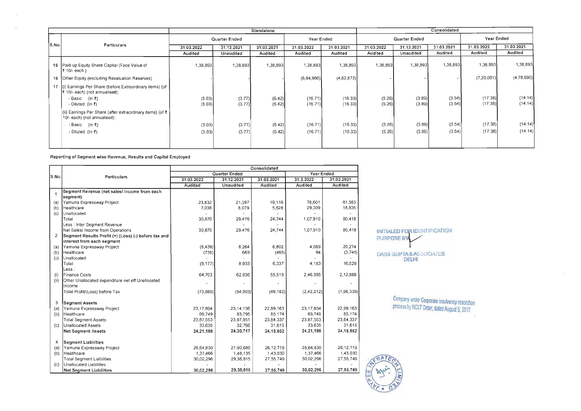Reporting of Segment wise Revenue, Results and Capital Employed

 $\sim$   $\sim$ 

 $\sim$ 

DASS GUPTA & ASSOCIATES DELHI

|       |                                                                                                    |            |               | Standalone |                |                |            |               | Consolidated |                |            |
|-------|----------------------------------------------------------------------------------------------------|------------|---------------|------------|----------------|----------------|------------|---------------|--------------|----------------|------------|
|       |                                                                                                    |            | Quarter Ended |            | Year Ended     |                |            | Quarter Ended |              | Year Ended     |            |
| S.No. | Particulars                                                                                        | 31.03.2022 | 31.12.2021    | 31.03.2021 | 31.03.2022     | 31.03.2021     | 31.03.2022 | 31.12.2021    | 31.03.2021   | 31.03.2022     | 31.03.2021 |
|       |                                                                                                    | Audited    | Unaudited     | Audited    | <b>Audited</b> | <b>Audited</b> | Audited    | Unaudited     | Audited      | <b>Audited</b> | Audited    |
|       | 15   Paid-up Equity Share Capital (Face Value of<br>$ \xi $ 10/- each)                             | 1.38,893   | 1,38,893      | 1.38,893   | 1,38,893       | 1,38,893       | 1,38,893   | 1 38,893      | 1,38,893     | 1,38,893       | 1,38,893   |
|       | 16   Other Equity (excluding Revaluation Reserves)                                                 |            |               |            | (6,94,966)     | (4,62,872)     |            |               |              | (7,20,001)     | (4,78,690) |
|       | 17 (i) Earnings Per Share (before Extraordinary items) (of<br>$ \xi $ 10/- each) (not annualised): |            |               |            |                |                |            |               |              |                |            |
|       | - Basic (In ₹)                                                                                     | (5.03)     | (3.77)        | (6.42)     | (16.71)        | (16.33)        | (5.26)     | (3.89)        | (3.54)       | (17.38)        | (14.14)    |
|       | - Diluted (In $\bar{\tau}$ )                                                                       | (5.03)     | (3.77)        | (6.42)     | (16.71)        | (16.33)        | (5.26)     | (3.89)        | (3.54)       | (17.38)        | (14.14)    |
|       | (ii) Earnings Per Share (after extraordinary items) (of ₹<br>10/- each) (not annualised):          |            |               |            |                |                |            |               |              |                |            |
|       | - Basic (In ₹)                                                                                     | (5.03)     | (3.77)        | (6.42)     | (16.71)        | (16.33)        | (5.26)     | (3.89)        | (3.54)       | (17.38)        | (14.14)    |
|       | - Diluted (In $\bar{x}$ )                                                                          | (5.03)     | (3.77)        | (6.42)     | (16.71)        | (16.33)        | (5.26)     | (3.89)        | (3.54)       | (17.38)        | (14.14)    |
|       |                                                                                                    |            |               |            |                |                |            |               |              |                |            |

|                      |                                                      |                |                  | Consolidated   |                |                |            |
|----------------------|------------------------------------------------------|----------------|------------------|----------------|----------------|----------------|------------|
| S.No.                |                                                      |                | Quarter Ended    |                | Year Ended     |                |            |
|                      | <b>Particulars</b>                                   | 31.03.2022     | 31.12.2021       | 31.03.2021     | 31.3.2022      | 31.03.2021     |            |
|                      |                                                      | <b>Audited</b> | <b>Unaudited</b> | <b>Audited</b> | <b>Audited</b> | <b>Audited</b> |            |
| $\blacktriangleleft$ | Segment Revenue (net sales/ income from each         |                |                  |                |                |                |            |
|                      | segment)                                             |                |                  |                |                |                |            |
| (a)                  | Yamuna Expressway Project                            | 23,832         | 21,397           | 19,116         | 78,601         | 61,583         |            |
| (b)                  | Healthcare                                           | 7,038          | 8,079            | 5,628          | 29,309         | 18,835         |            |
| (c)                  | Unallocated                                          |                |                  |                |                |                |            |
|                      | Total                                                | 30,870         | 29,476           | 24,744         | 1,07,910       | 80,418         |            |
|                      | Less : Inter Segment Revenue                         |                |                  |                |                |                |            |
|                      | Net Sales/ Income from Operations                    | 30,870         | 29,476           | 24,744         | 1,07,910       | 80,418         | INIT       |
| 2                    | Segment Results Profit (+) (Loss) (-) before tax and |                |                  |                |                |                | PUR        |
|                      | interest from each segment                           |                |                  |                |                |                |            |
| (a)                  | Yamuna Expressway Project                            | (8, 439)       | 8,264            | 6,802          | 4,089          | 20,274         |            |
| (b)                  | Healthcare                                           | (738)          | 669              | (465)          | 94             | (3,745)        | <b>DAS</b> |
| (c)                  | Unallocated                                          |                |                  |                |                |                |            |
|                      | Total                                                | (9, 177)       | 8,933            | 6,337          | 4,183          | 16,529         |            |
|                      | Less :                                               |                |                  |                |                |                |            |
| (i)                  | Finance Costs                                        | 64,703         | 62,936           | 55,519         | 2,46,395       | 2,12,868       |            |
| (i)                  | Other Unallocated expenditure net off Unallocated    |                |                  |                |                |                |            |
|                      | llncome                                              |                |                  |                |                |                |            |
|                      | Total Profit/(Loss) before Tax                       | (73,880)       | (54,003)         | (49, 182)      | (2,42,212)     | (1,96,339)     |            |
| 3                    | <b>Segment Assets</b>                                |                |                  |                |                |                |            |
| (a)                  | Yamuna Expressway Project                            | 23, 17, 804    | 23,14,156        | 22,99,163      | 23, 17, 804    | 22,99,163      |            |
| (b)                  | Healthcare                                           | 69,749         | 83,795           | 85,174         | 69,749         | 85,174         |            |
|                      | <b>Total Segment Assets</b>                          | 23,87,553      | 23,97,951        | 23,84,337      | 23,87,553      | 23,84,337      |            |
| $\left( c\right)$    | Unallocated Assets                                   | 33,635         | 32,766           | 31,615         | 33,635         | 31,615         |            |
|                      | <b>Net Segment Assets</b>                            | 24,21,188      | 24,30,717        | 24, 15, 952    | 24,21,188      | 24, 15, 952    |            |
| 4                    | <b>Segment Liabilities</b>                           |                |                  |                |                |                |            |
| (a)                  | Yamuna Expressway Project                            | 28,64,830      | 27,90,680        | 26, 12, 719    | 28,64,830      | 26,12,719      |            |
| (b)                  | Healthcare                                           | 1,37,466       | 1,48 135         | 1,43,030       | 1,37,466       | 1,43,030       |            |
|                      | <b>Total Segment Liabilities</b>                     | 30,02,296      | 29,38,815        | 27,55,749      | 30,02,296      | 27,55,749      |            |
| (C)                  | Unallocated Liabilities                              |                |                  |                |                |                |            |
|                      | <b>Net Segment Liabilities</b>                       | 30,02,296      | 29,38,815        | 27,55,749      | 30,02,296      | 27,55,749      | <b>XIO</b> |

TIALED FOR IDENTIFICATION RPOSE BY

> Company under Corporate Insolvency resolution process by NCLT Order, dated August 9, 2017

> > **Contract Contract State**

 $\sim$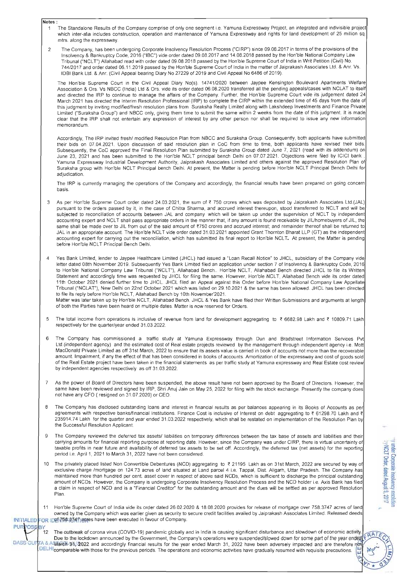- Notes:
	- 1 The Standalone Results of the Company comprise of only one segment i.e. Yamuna Expressway Project, an integrated and indivisible project which inter-alia includes construction, operation and maintenance of Yamuna Expressway and rights for land development of 25 million sq. mtrs. along the expressway.
	- 2 The Company, has been undergoing Corporate Insolvency Resolution Process ("CIRP") since 09.08.2017 in terms of the provisions of the Insolvency & Bankruptcy Code, 2016 ("IBC") vide order dated 09.08.2017 and 14.08.2018 passed by the Hon'ble National Company Law Tribunal ("NCL r) Allahabad read with order dated 09.08.2018 passed by the Hon'ble Supreme Court of India in Writ Petition (Civil) No. 744/2017 and order dated 06.11.2019 passed by the Hon'ble Supreme Court of India in the matter of Jaiprakash Associates Ltd. & Anr. Vs. lOBI Bank Ltd. & Anr. (Civil Appeal bearing Diary No 27229 of 2019 and Civil Appeal No 6486 of 2019).

Accordingly, The IRP invited fresh/ modified Resolution Plan from NBCC and Suraksha Group. Consequently, both applicants have submitted their bids on 07.04.2021 . Upon discussion of said resolution plan in CoC from time to time, both applicants have revised their bids. Subsequently, the CoC approved the Final Resolution Plan submitted by Suraksha Group dated June 7, 2021 (read with its addendum) on June 23, 2021 and has been submitted to the Hon'ble NCLT principal bench Delhi on 07.07.2021. Objections were filed by ICICI bank Yamuna Expressway Industrial Development Authority, Jaiprakash Associates Limited and others against the approved Resolution Plan of Suraksha group with Hon'ble NCLT Principal bench Delhi. At present, the Matter is pending before Hon'ble NCLT Principal Bench Delhi for adjudication.

The Hon'ble Supreme Court in the Civil Appeal Diary No(s). 14741/2020 between Jaypee Kensington Boulevard Apartments Welfare Association & Ors. Vs NBCC (India) Ltd & Ors. vide its order dated 06.08.2020 transferred all the pending appeals/cases with NCLAT to itself and directed the IRP to continue to manage the affairs of the Company. Further, the Hon'ble Supreme Court vide its judgement dated 24 March 2021 has directed the Interim Resolution Professional (IRP) to complete the CIRP within the extended time of 45 days from the date of this judgment by inviting modified/fresh resolution plans from Suraksha Realty Limited along with Lakshdeep Investments and Finance Private Limited ("Suraksha Group") and NBCC only, giving them time to submit the same within 2 weeks from the date of this judgment. It is made clear that the IRP shall not entertain any expression of interest by any other person nor shall be required to issue any new information memorandum.

Matter was later taken up by Hon'ble NCLT, Allahabad Bench. JHCL & Yes Bank have filed their Written Submissions and arguments at length of both the Parties have been heard on multiple dates. Matter is now reserved for Orders.

The IRP is currently managing the operations of the Company and accordingly, the financial results have been prepared on going concern basis.

- As per Hon'ble Supreme Court order dated 24.03.2021, the sum of ₹ 750 crores which was deposited by Jaiprakash Associates Ltd.(JAL) pursuant to the orders passed by it, in the case of Chitra Sharma, and accrued interest thereupon, stood transferred to NCLT and will be subjected to reconciliation of accounts between JAL and company which will be taken up under the supervision of NCLT by independent accounting expert and NCLT shall pass appropriate orders in the manner that, if any amount is found receivable by JIL/homebuyers of JIL, the same shall be made over to JIL from out of the said amount of ₹750 crores and accrued interest; and remainder thereof shall be returned to JAL in an appropriate account. The Hon'ble NCLT vide order dated 31.03.2021 appointed Grant Thornton Bharat LLP (GT) as the independent accounting expert for carrying out the reconciliation, which has submitted its final report to Hon'ble NCLT. At present, the Matter is pending before Hon'ble NCLT Principal Bench Delhi.
- 4 Yes Bank Limited, lender to Jaypee Healthcare Limited (JHCL) had issued a "Loan Recall Notice" to JHCL, subsidiary of the Company vide letter dated 08th November 2019. Subsequently Yes Bank Limited filed an application under section 7 of Insolvency & Bankruptcy Code, 2016 to Hon'ble National Company Law Tribunal ("NCLT"), Allahabad Bench.. Hon'ble NCLT, Allahabad Bench directed JHCL to file its Written Statement and accordingly time was requested by JHCL for filing the same. However, Hon'ble NCLT, Allahabad Bench vide its order dated 11th October 2021 denied further time to JHCL. JHCL filed an Appeal against this Order before Hon'ble National Company Law Appellate Tribunal ("NCLAr), New Delhi on 22nd October 2021 which was listed on 29.10.2021 & the same has been allowed. JHCL has been directed to file its reply before Hon'ble NCLT, Allahabad Bench by 10th November'2021.

carrying amounts for financial reporting purpose at reporting date. However, since the Company was under CIRP, there is virtual uncertainty of taxable profits in near future and availability of deferred tax assets to be set off. Accordingly, the deferred tax (net assets) for the reporting period i.e. April 1, 2021 to March 31, 2022 have not been considered.

- 0. The privately placed listed Non Convertible Debentures (NCD) aggregating to  $\overline{z}$  21195 Lakh as on 31st March, 2022 are secured by way of exclusive charge /mortgage on 124.73 acres of land situated at Land parcel 4 i.e. Tappal, Dist. Aligarh, Uttar Pradesh. The Company has maintained more than hundred per cent. asset cover in respect of above said NCDs, which is sufficient to discharge the principal outstanding amount of NCDs. However, the Company is undergoing Corporate Insolvency Resolution Process and the NCO holder i.e. Axis Bank has filed a claim in respect of NCO and is a "Financial Creditor" for the outstanding amount and the dues will be settled as per approved Resolution Plan.
- 11 Hon'ble Supreme Court of India vide its order dated 26.02.2020 & 18.08.2020 provides for release of mortgage over 758.3747 acres of land owned by the Company which was earlier given as security to secure credit facilities availed by Jaiprakash Associates Limited. Released deeds INITIALED FOR IDDIVIDE GIVEN acres have been executed in favour of Company.
- **PURPOSERY** 12 The outbreak of corona virus (COVID-19) pandemic globally and in India is causing significant disturbance and slowdown of economic activity. Due to the lockdown announced by the Government, the Company's operations were suspended/slowed down for some part of the year ended DASS GUF FA & A March 31, 2022 and accordingly financial results for the year ended March 31, 2022 have been adversely impacted and are therefore n DELHI comparable with those for the previous periods. The operations and economic activities have gradually resumed with requisite precautions.
- 5 The total income from operations is inclusive of revenue from land for development aggregating to {6682.98 Lakh and { 10809.71 Lakh respectively for the quarter/year ended 31 .03.2022.
- 6 The Company has commissioned a traffic study at Yamuna Expressway through Dun and Bradstreet Information Services Pvt Ltd. (independent agency) and the estimated cost of Real estate projects reviewed by the management through independent agency i.e. Mott MacDonald Private Limited as off 31st March, 2022 to ensure that its assets value is carried in book of accounts not more than the recoverable amount. Impairment, if any the effect of that has been considered in books of accounts. Amortization of the expressway and cost of goods sold of the Real Estate project have been taken in the financial statements as per traffic study at Yamuna expressway and Real Estate cost review by independent agencies respectively as off *3103.2022.*
- 7 As the power of Board of Directors have been suspended, the above result have not been approved by the Board of Directors. However, the same have been reviewed and signed by IRP, Shri Anuj Jain on May 25, 2022 for filing with the stock exchange. Presently the company does not have any CFO ( resigned on 31.07.2020) or CEO.
- 8 The Company has disclosed outstanding loans and interest in financial results as per balances appearing in its Books of Accounts as per agreements with respective banks/financial institutions. Finance Cost is inclusive of Interest on debt aggregating to ₹ 61298.70 Lakh and ₹ 235914.74 Lakh for the quarter and year ended 31 .03.2022 respectively, which shall be restated on implementation of the Resolution Plan by the Successful Resolution Applicant.
- 9 The Company reviewed the deferred tax assets/ liabilities on temporary differences between the tax base of assets and liabilities and their

WCLT Order, dated August 9, 2017 under Corporate Insolvency resol

 $\sim$   $\frac{1}{2}$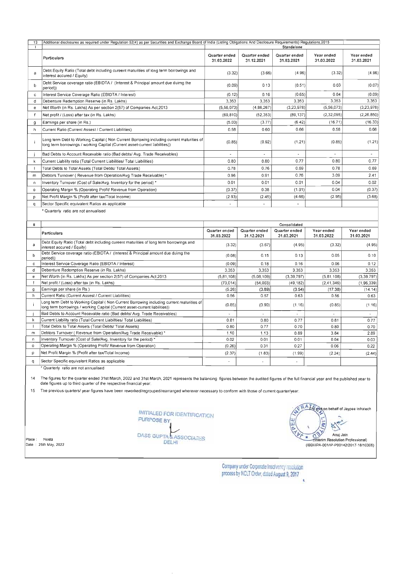|         | Additional disclosures as required under Regulation 52(4) as per Securities and Exchange Board of India (Listing Obligations And Disclosure Requirements) Regulations, 2015 |                             |                             | Standalone                  |                          |                          |
|---------|-----------------------------------------------------------------------------------------------------------------------------------------------------------------------------|-----------------------------|-----------------------------|-----------------------------|--------------------------|--------------------------|
|         | Particulars                                                                                                                                                                 | Quarter ended               | Quarter ended               | Quarter ended               | Year ended               | Year ended               |
|         |                                                                                                                                                                             | 31.03.2022                  | 31.12.2021                  | 31.03.2021                  | 31.03.2022               | 31.03.2021               |
| a       | Debt Equity Ratio (Total debt including cureent maturities of long term borrowings and<br>interest accured / Equity)                                                        | (3.32)                      | (3.66)                      | (4.96)                      | (3.32)                   | (4.96)                   |
| b       | Debt Service coverage ratio (EBIDTA / (Interest & Principal amount due duirng the<br>period))                                                                               | (0.09)                      | 0.13                        | (0.51)                      | 0.03                     | (0.07)                   |
| c       | Interest Service Coverage Ratio (EBIDTA / Interest)                                                                                                                         | (0.12)                      | 0.16                        | (0.65)                      | 0.04                     | (0.09)                   |
| d       | Debenture Redemption Reserve (in Rs. Lakhs)                                                                                                                                 | 3,353                       | 3,353                       | 3.353                       | 3,353                    | 3,353                    |
| e       | Net Worth (in Rs. Lakhs) As per section 2(57) of Companies Act, 2013                                                                                                        | (5,56,073)                  | (4, 86, 267)                | (3,23,978)                  | (5,56,073)               | (3,23,978)               |
|         | Net profit / (Loss) after tax (in Rs. Lakhs)                                                                                                                                | (69.810)                    | (52, 353)                   | (89, 137)                   | (2, 32, 095)             | (2,26,850)               |
| g       | Earnings per share (in Rs.)                                                                                                                                                 | (5.03)                      | (3.77)                      | (6.42)                      | (16.71)                  | (16.33)                  |
| ħ       | Current Ratio (Current Assest / Current Liabilities)                                                                                                                        | 0.58                        | 0.60                        | 0.66                        | 0.58                     | 0.66                     |
|         | Long term Debt to Working Capital (Non Current Borrowing including current maturities of<br>long term borrowings / working Capital (Current asset-current liabilities))     | (0.85)                      | (0.92)                      | (1.21)                      | (0.85)                   | (1.21)                   |
|         | Bad Debts to Account Recevable ratio (Bad debts/ Avg. Trade Receivables)                                                                                                    | $\blacksquare$              | $\blacksquare$              | a.                          | $\blacksquare$           | $\blacksquare$           |
| k       | Current Liability ratio (Total Current Liabilities/ Total Liabilities)                                                                                                      | 0.80                        | 0.80                        | 0.77                        | 0.80                     | 0.77                     |
|         | Total Debts to Total Assets (Total Debts/ Total Assets)                                                                                                                     | 0.78                        | 0.76                        | 0.69                        | 0.78                     | 0.69                     |
| m       | Debtors Turnover (Revenue from Operation/Avg Trade Receivable)*                                                                                                             | 0.96                        | 0.91                        | 0.76                        | 3.09                     | 2.41                     |
| n       | Inventory Turnover (Cost of Sale/Avg. Inventory for the period) *                                                                                                           | 0.01                        | 0.01                        | 0.01                        | 0.04                     | 0.02                     |
| $\circ$ | Operating Margin % (Operating Profit/ Revenue from Operation)                                                                                                               | (0.37)                      | 0.38                        | (1.91)                      | 0.04                     | (0.37)                   |
|         | Net Profit Margin % (Profit after tax/Total Income)                                                                                                                         | (2.93)                      | (2.45)                      | (4.66)                      | (2.95)                   | (3.68)                   |
| р       |                                                                                                                                                                             |                             |                             |                             |                          |                          |
| q       | Sector Specific equivalent Ratios as applicable                                                                                                                             | $\sim$                      | $\blacksquare$              | $\blacksquare$              |                          |                          |
|         | * Quarterly ratio are not annualised                                                                                                                                        |                             |                             |                             |                          |                          |
| Ш       |                                                                                                                                                                             |                             |                             | Consolidated                |                          |                          |
|         | <b>Particulars</b>                                                                                                                                                          | Quarter ended<br>31.03.2022 | Quarter ended<br>31.12.2021 | Quarter ended<br>31.03.2021 | Year ended<br>31.03.2022 | Year ended<br>31.03.2021 |
| a       | Debt Equity Ratio (Total debt including cureent maturities of long term borrowings and<br>interest accured / Equity)                                                        | (3.32)                      | (3.67)                      | (4.95)                      | (3.32)                   | (4.95)                   |
| b       | Debt Service coverage ratio (EBIDTA / (Interest & Principal amount due duimg the<br>period))                                                                                | (0.08)                      | 0.15                        | 0.13                        | 0.05                     | 0.10                     |
| C       | Interest Service Coverage Ratio (EBIDTA / Interest)                                                                                                                         | (0.09)                      | 0.18                        | 0.16                        | 0.06                     | 0.12                     |
| đ       | Debenture Redemption Reserve (in Rs. Lakhs)                                                                                                                                 | 3.353                       | 3,353                       | 3,353                       | 3,353                    | 3,353                    |
| e       | Net Worth (in Rs. Lakhs) As per section 2(57) of Companies Act, 2013                                                                                                        | (5, 81, 108)                | (5,08,109)                  | (3, 39, 797)                | (5.81, 108)              | (3, 39, 797)             |
| f       | Net profit / (Loss) after tax (in Rs. Lakhs)                                                                                                                                | (73.014)                    | (54,003)                    | (49, 182)                   | (2, 41, 346)             | (1,96,339)               |
| g       | Earnings per share (in Rs.)                                                                                                                                                 | (5.26)                      | (3.89)                      | (3.54)                      | (17.38)                  | (14.14)                  |
| h       | Current Ratio (Current Assest / Current Liabilities)                                                                                                                        | 0.56                        | 0.57                        | 0.63                        | 0.56                     | 0.63                     |
| ÷i      | Long term Debt to Working Capital (Non Current Borrowing including current maturities of<br>long term borrowings / working Capital (Current asset-current liabilities))     | (0.85)                      | (0.90)                      | (1.16)                      | (0.85)                   | (1.16)                   |
|         | Bad Debts to Account Recevable ratio (Bad debts/ Avg. Trade Receivables)                                                                                                    |                             |                             |                             |                          |                          |
| k.      | Current Liability ratio (Total Current Liabilities/ Total Liabilities)                                                                                                      | 0.81                        | 0.80                        | 0.77                        | 0.81                     | 0.77                     |
|         | Total Debts to Total Assets (Total Debts/ Total Assets)                                                                                                                     | 0.80                        | 0.77                        | 0.70                        | 0.80                     | 0.70                     |
| m       | Debtors Turnover (Revenue from Operation/Avg Trade Receivable)*                                                                                                             | 1.10                        | 1.13                        | 0.89                        | 3.84                     | 2.89                     |
| n       | Inventory Turnover (Cost of Sale/Avg. Inventory for the period) *                                                                                                           | 0.02                        | 0.01                        | 0.01                        | 0.04                     | 0.03                     |
| $\circ$ | Operating Margin % (Operating Profit/ Revenue from Operation)                                                                                                               | (0.26)                      | 0.31                        | 0.27                        | 0.06                     | 0.22                     |
| p       | Net Profit Margin % (Profit after tax/Total Income)                                                                                                                         | (2.37)                      | (1.83)                      | (1.99)                      | (2.24)                   | (2.44)                   |
| q       | Sector Specific equivalent Ratios as applicable<br>* Oundady, anti- are not provided.                                                                                       |                             |                             |                             |                          |                          |

14 The figures for the quarter ended 31st March, 2022 and 31st March, 2021 represents the balancing figures between the audited figures of the full financial year and the published year to **date figures up to third quarter of the respective financial year.** 

**\ Interim Resolution Professional)**  Pace : Noida<br> **DELHI (Interior Resolution Professional)**<br>
Ate : 25th May 2022 2011/220017 19/10306)

**.. Quarterly ratio are not annualised** 

15 **The previous** *quartersl* **year figures have been reworked/regrouped/rearranged wherever necessary to conform with those of current quarter/year.** 

INITIALED FOR IDENTIFICATION ASS GUPTA & ASSOCIATES

 $\sim$ 



**Place** : **Naida** 



Company under Corporate Insolvency resolution process by NCLT Order, dated August 9, 2017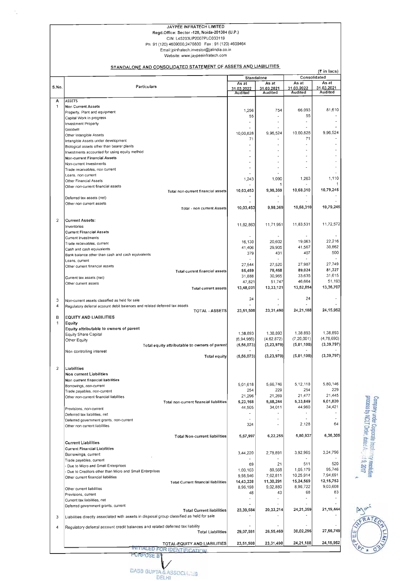## JAYPEE INFRATECH LIMITED

Regd.Office: Sector -128, Noida-201304 (U.P.)

## CIN: l45203UP2007PlC033119

Ph: 91 (120) 4609000.2470800 Fax : 91 (120) 4609464 **Email:jpinfratech.investor@jalindia.ca.in** 

**Website: www.jaypeeinfratech.com** 

#### STANDALONE AND CONSOLIDATED STATEMENT OF ASSETS AND LIABILITIES

Company under Corporate Insciency resolution<br>process by NCLT Order, dated Acry 1:19, 2017



|        |                                                                                                            | Standalone            |                              | Consolidated                 | (₹ in lacs)                  |
|--------|------------------------------------------------------------------------------------------------------------|-----------------------|------------------------------|------------------------------|------------------------------|
|        |                                                                                                            | As at                 | As at                        | As at                        | As at                        |
| S.No.  | Particulars                                                                                                | 31.03.2022            | 31.03.2021<br><b>Audited</b> | 31.03.2022<br><b>Audited</b> | 31.03.2021<br><b>Audited</b> |
|        |                                                                                                            | <b>Audited</b>        |                              |                              |                              |
| А<br>1 | <b>ASSETS</b><br>Non Current Assets                                                                        |                       |                              |                              |                              |
|        | Property, Plant and equipment                                                                              | 1,256                 | 754                          | 66,093                       | 81,610                       |
|        | Capital Work in progress                                                                                   | 55                    |                              | 55                           |                              |
|        | Investment Property                                                                                        |                       |                              |                              |                              |
|        | Goodwill                                                                                                   | 10,00,828             | 9,96,524                     | 10,00,828                    | 9,96,524                     |
|        | Other Intangible Assets<br>Intangible Assets under development                                             | 71                    |                              | 71                           |                              |
|        | Biological assets other than bearer plants                                                                 |                       |                              |                              |                              |
|        | Investments accounted for using equity method                                                              |                       |                              |                              |                              |
|        | Non-current Financial Assets                                                                               | ÷                     |                              |                              |                              |
|        | Non-current Investments                                                                                    |                       |                              |                              |                              |
|        | Trade receivables, non current                                                                             |                       |                              |                              |                              |
|        | Loans, non current<br>Other Financial Assets                                                               | 1,243                 | 1,090                        | 1,263                        | 1.110                        |
|        | Other non-current financial assets                                                                         |                       | 1                            |                              |                              |
|        | Total non-current financial assets                                                                         | 10,03,453             | 9,98,369                     | 10,68,310                    | 10,79,245                    |
|        | Deferred tax assets (net)                                                                                  |                       |                              |                              |                              |
|        | Other non current assets                                                                                   |                       |                              |                              |                              |
|        | Total - non current Assets                                                                                 | 10,03,453             | 9,98,369                     | 10,68,310                    | 10,79,245                    |
|        |                                                                                                            |                       |                              |                              |                              |
|        | <b>Current Assets:</b>                                                                                     | 11,82,863             | 11,71,951                    | 11,83,531                    | 11,72,572                    |
|        | Inventories<br><b>Current Financial Assets</b>                                                             |                       |                              |                              |                              |
|        | Current Investments                                                                                        |                       |                              |                              |                              |
|        | Trade receivables, current                                                                                 | 16,130                | 20,602                       | 19,063                       | 22,216                       |
|        | Cash and cash equivalents                                                                                  | 41,406                | 29,905                       | 41,567                       | 30,862                       |
|        | Bank balance other than cash and cash equivalents                                                          | 379                   | 431                          | 407                          | 500                          |
|        | Loans, current                                                                                             | 27,544                | 27,520                       | 27,987                       | 27,749                       |
|        | Other current financial assets<br>Total current financial assets                                           | 85,459                | 78,458                       | 89,024                       | 81,327                       |
|        | Current tax assets (net)                                                                                   | 31,888                | 30,965                       | 33,635                       | 31,615                       |
|        | Other current assets                                                                                       | 47,821                | 51,747                       | 46,664                       | 51,193                       |
|        | Total current assets                                                                                       | 13,48,031             | 13,33,121                    | 13,52,854                    | 13,36,707                    |
|        |                                                                                                            |                       |                              |                              |                              |
|        | Non-current assets classified as held for sale                                                             | 24                    |                              | 24                           |                              |
|        | Regulatory deferral account debit baiances and related deferred tax assets<br><b>TOTAL - ASSETS</b>        | 23,51,508             | 23,31,490                    | 24, 21, 188                  | 24, 15, 952                  |
|        | <b>EQUITY AND LIABILITIES</b>                                                                              |                       |                              |                              |                              |
|        | <b>Equity</b>                                                                                              |                       |                              |                              |                              |
|        | Equity attributable to owners of parent                                                                    |                       |                              |                              |                              |
|        | Equity Share Capital                                                                                       | 1,38,893              | 1,38,893                     | 1,38,893                     | 1,38,893                     |
|        | Other Equity                                                                                               | (6,94,966)            | (4.62, 872)                  | (7, 20, 001)                 | (4,78,690)                   |
|        | Total equity attributable to owners of parent                                                              | (5,56,073)            | (3, 23, 979)                 | (5, 81, 108)                 | (3, 39, 797)                 |
|        | Non controlling interest<br><b>Total equity</b>                                                            | (5,56,073)            | (3,23,979)                   | (5, 81, 108)                 | (3, 39, 797)                 |
|        |                                                                                                            |                       |                              |                              |                              |
|        | Liabilities                                                                                                |                       |                              |                              |                              |
|        | Non current Liabilities                                                                                    |                       |                              |                              |                              |
|        | Non current financial liabilities                                                                          |                       | 5,66,746                     | 5,12,118                     | 5,80,146                     |
|        | Borrowings, non-current                                                                                    | 5,01,618<br>254       | 229                          | 254                          | 229                          |
|        | Trade payables, non-current<br>Other non-current financial liabilities                                     | 21,296                | 21,269                       | 21,477                       | 21,445                       |
|        | Total non-current financial liabilities                                                                    | 5,23,168              | 5,88,244                     | 5,33,849                     | 6,01,820                     |
|        | Provisions, non-current                                                                                    | 44,505                | 34,011                       | 44,960                       | 34 421                       |
|        | Deferred tax liabilities, net                                                                              |                       |                              |                              |                              |
|        | Deferred government grants, non-current                                                                    |                       |                              |                              |                              |
|        | Other non current liabilities                                                                              | 324                   |                              | 2,128                        | 64                           |
|        | <b>Total Non-current liabilities</b>                                                                       | 5,67,997              | 6,22,255                     | 5,80,937                     | 6,36,305                     |
|        | <b>Current Liabilities</b>                                                                                 |                       |                              |                              |                              |
|        | <b>Current Financial Liabilities</b>                                                                       |                       |                              |                              |                              |
|        | Borrowings, current                                                                                        | 3,44,220              | 2,78,891                     | 3,92,965                     | 3,24,796                     |
|        | Trade payables, current                                                                                    |                       |                              |                              |                              |
|        | Due to Micro and Small Enterprises                                                                         | 69                    | 21                           | 511                          | 520                          |
|        | Due to Creditors other than Micro and Small Enterprises                                                    | 1,00,103              | 88,568                       | 1,05,179                     | 95 746                       |
|        | Other current financial liabilities                                                                        | 9,98,946<br>14,43,338 | 7,62,811<br>11,30,291        | 10,25,914<br>15,24,569       | 7,94,691<br>12,15,753        |
|        | <b>Total Current financial liabilities</b>                                                                 | 8,96,198              | 9.02,880                     | 8,96,722                     | 9,03,608                     |
|        | Other current liabilities<br>Provisions, current                                                           | 48                    | 43                           | 68                           | 83                           |
|        | Current tax liabilities, net                                                                               |                       |                              |                              |                              |
|        | Deferred government grants, current                                                                        |                       |                              |                              |                              |
|        | <b>Total Current liabilities</b>                                                                           | 23,39,584             | 20,33,214                    | 24,21,359                    | 21,19,444                    |
|        | Liabilities directly associated with assets in disposal group classified as held for sale                  |                       |                              |                              |                              |
|        |                                                                                                            |                       |                              |                              |                              |
|        |                                                                                                            |                       | 26,55,469                    | 30,02,296                    | 27,55,749                    |
|        | Regulatory deferral account credit balances and related deferred tax liability<br><b>Total Liabilities</b> | 29,07,581             |                              |                              |                              |
|        |                                                                                                            |                       |                              |                              |                              |
|        | TOTAL-EQUITY AND LIABILITIES                                                                               | 23,51,508             | 23,31,490                    | 24,21,188                    | 24, 15, 952                  |
|        | <b>FOR IDENTIFICATION</b><br><b><i>RPOSE BY</i></b>                                                        |                       |                              |                              |                              |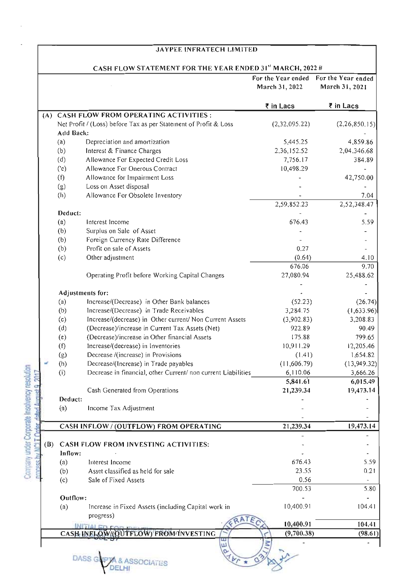## JAY PEE INFRATECH LIMITED

## CASH FLOW STATEMENT FOR THE YEAR ENDED 31<sup>st</sup> MARCH, 2022 #

|                      |                  |                                                                  | March 31, 2022 | For the Year ended For the Year ended<br>March 31, 2021 |
|----------------------|------------------|------------------------------------------------------------------|----------------|---------------------------------------------------------|
|                      |                  |                                                                  | ₹ in Lacs      | ₹ in Lacs                                               |
| (A)                  |                  | <b>CASH FLOW FROM OPERATING ACTIVITIES:</b>                      |                |                                                         |
|                      |                  | Net Profit / (Loss) before Tax as per Statement of Profit & Loss | (2,32,095.22)  | (2,26,850.15)                                           |
|                      | Add Back:        |                                                                  |                |                                                         |
|                      | (a)              | Depreciation and amortization                                    | 5,445.25       | 4,859.86                                                |
|                      | (b)              | Interest & Finance Charges                                       | 2,36,152.52    | 2,04.346.68                                             |
|                      | (d)              | Allowance For Expected Credit Loss                               | 7,756.17       | 384.89                                                  |
|                      | (e)              | Allowance For Onerous Contract                                   | 10,498.29      |                                                         |
|                      | (f)              | Allowance for Impairment Loss                                    |                | 42,750.00                                               |
|                      | (g)              | Loss on Asset disposal                                           |                |                                                         |
|                      | (h)              | Allowance For Obsolete Inventory                                 |                | 7.04                                                    |
|                      |                  |                                                                  | 2,59,852.23    | 2,52,348.47                                             |
|                      | Deduct:          |                                                                  |                |                                                         |
|                      | (a)              | Interest Income                                                  | 676.43         | 5.59                                                    |
|                      | (b)              | Surplus on Sale of Asset                                         |                |                                                         |
|                      | (b)              | Foreign Currency Rate Difference                                 |                |                                                         |
|                      | (b)              | Profit on sale of Assets                                         | 0.27           |                                                         |
|                      | (c)              | Other adjustment                                                 | (0.64)         | 4.10                                                    |
|                      |                  |                                                                  | 676.06         | 9.70                                                    |
|                      |                  | Operating Profit before Working Capital Changes                  | 27,080.94      | 25,488.62                                               |
|                      | Adjustments for: |                                                                  |                |                                                         |
|                      | (a)              | Increase/(Decrease) in Other Bank balances                       | (52.23)        | (26.74)                                                 |
|                      | (b)              | Increase/(Decrease) in Trade Receivables                         | 3,284.75       | (1,633.96)                                              |
|                      | (c)              | Increase/(decrease) in Other current/ Non Current Assets         | (3,902.83)     | 3,208.83                                                |
|                      | (d)              | (Decrease)/increase in Current Tax Assets (Net)                  | 922.89         | 90.49                                                   |
|                      | (e)              | (Decrease)/increase in Other financial Assets                    | 175.88         | 799.65                                                  |
|                      | (f)              | Increase/(decrease) in Inventories                               | 10,911.29      | 12,205.46                                               |
|                      | (g)              | Decrease /(increase) in Provisions                               | (1.41)         | 1,654.82                                                |
|                      | (h)              | Decrease/(Increase) in Trade payables                            | (11,606.79)    | (13,949.32)                                             |
|                      | (i)              | Decrease in financial, other Current/ non current Liabilities    | 6,110.06       | 3,666.26                                                |
|                      |                  |                                                                  | 5,841.61       | 6,015.49                                                |
|                      |                  | Cash Generated from Operations                                   | 21,239.34      | 19,473.14                                               |
|                      | Deduct:          |                                                                  |                |                                                         |
|                      | (a)              | Income Tax Adjustment                                            |                |                                                         |
|                      |                  |                                                                  |                |                                                         |
| Order dated August 9 |                  | CASH INFLOW / (OUTFLOW) FROM OPERATING                           | 21,239.34      | 19,473.14                                               |
| (B)                  |                  | CASH FLOW FROM INVESTING ACTIVITIES:                             |                |                                                         |
|                      | Inflow:          |                                                                  |                |                                                         |
|                      |                  | Interest Income                                                  | 676.43         |                                                         |
| nrangee              | (a)              | Asset classified as held for sale                                | 23.55          | 5.59<br>0.21                                            |
|                      | (b)<br>(c)       | Sale of Fixed Assets                                             | 0.56           |                                                         |
|                      |                  |                                                                  | 700.53         | 5.80                                                    |
|                      | Outflow:         |                                                                  |                |                                                         |
|                      | (a)              | Increase in Fixed Assets (including Capital work in              | 10,400.91      | 104.41                                                  |
|                      |                  | progress)                                                        |                |                                                         |
|                      |                  | NITIALED COD                                                     | 10,400.91      | 104.41                                                  |
|                      |                  | CASH INELOW (QUITLOW) FROM INVESTING                             | (9,700.38)     | (98.61)                                                 |
|                      |                  | Ш<br>$d_{b,p}$<br><b>DASS G</b><br><b>SSOCIATES</b>              | $\circ$        |                                                         |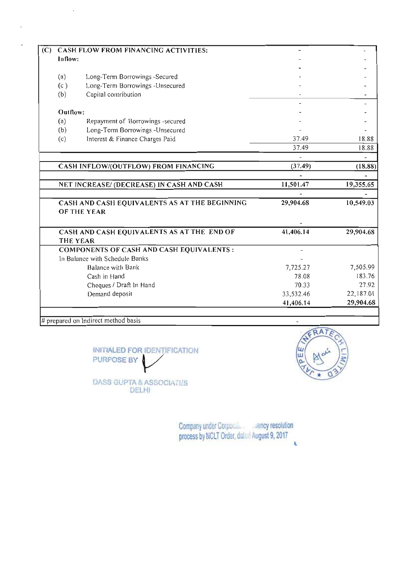|          | CASH FLOW FROM FINANCING ACTIVITIES:                                |           |                              |
|----------|---------------------------------------------------------------------|-----------|------------------------------|
| Inflow:  |                                                                     |           |                              |
|          |                                                                     |           |                              |
| (a)      | Long-Term Borrowings -Secured                                       |           |                              |
| (c)      | Long-Term Borrowings -Unsecured                                     |           |                              |
| (b)      | Capital contribution                                                |           |                              |
|          |                                                                     |           |                              |
| Outflow: |                                                                     |           |                              |
| (a)      | Repayment of Borrowings -secured                                    |           |                              |
| (b)      | Long-Term Borrowings -Unsecured                                     |           |                              |
| (c)      | Interest & Finance Charges Paid                                     | 37.49     | 18.88                        |
|          |                                                                     | 37.49     | 18.88                        |
|          |                                                                     |           |                              |
|          |                                                                     |           |                              |
|          | CASH INFLOW/(OUTFLOW) FROM FINANCING                                | (37.49)   | (18.88)                      |
|          |                                                                     |           |                              |
|          | NET INCREASE/ (DECREASE) IN CASH AND CASH                           | 11,501.47 |                              |
|          |                                                                     |           | 19,355.65                    |
|          | CASH AND CASH EQUIVALENTS AS AT THE BEGINNING<br><b>OF THE YEAR</b> | 29,904.68 | 10,549.03                    |
|          | CASH AND CASH EQUIVALENTS AS AT THE END OF                          | 41,406.14 | 29,904.68                    |
|          | <b>THE YEAR</b>                                                     |           |                              |
|          | COMPONENTS OF CASH AND CASH EQUIVALENTS :                           |           |                              |
|          | In Balance with Schedule Banks                                      |           |                              |
|          | Balance with Bank                                                   | 7,725.27  | 7,505.99                     |
|          | Cash in Hand                                                        | 78.08     |                              |
|          | Cheques / Draft In Hand                                             | 70.33     |                              |
|          | Demand deposit                                                      | 33,532.46 | 183.76<br>27.92<br>22,187.01 |

 $#$  prepared on Indirect method basis

 $\mathbb{R}^2$ 

 $\bar{z}$ 

 $\overline{a}$ 

INITIALED FOR IDENTIFICATION  $\begin{pmatrix} \omega \\ \omega \\ \omega \end{pmatrix}$   $\begin{pmatrix} A & A^2 \\ B & A^3 \end{pmatrix}$ .<br>DASS GUPTA & ASSOCIATES

DELHI



Company under Corporale exency resolution process by NCLT Order, dalcd August 9, 2017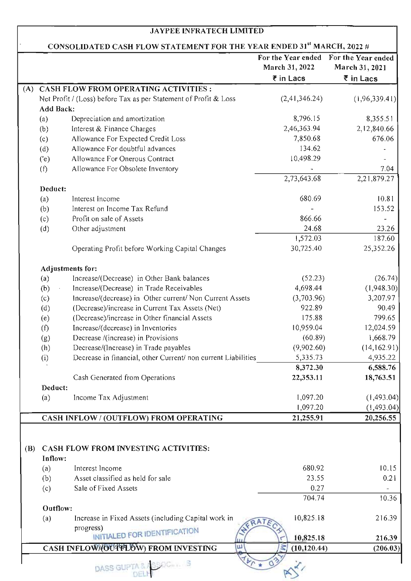#### JA YPEE INFRA TECH LIMITED

## CONSOLIDATED CASH FLOW STATEMENT FOR THE YEAR ENDED 31<sup>st</sup> MARCH, 2022  $\#$

|              |                  |                                                                  | For the Year ended<br>March 31, 2022 | For the Year ended<br>March 31, 2021 |
|--------------|------------------|------------------------------------------------------------------|--------------------------------------|--------------------------------------|
|              |                  |                                                                  | ₹ in Lacs                            | ₹ in Lacs                            |
| (A)          |                  | CASH FLOW FROM OPERATING ACTIVITIES:                             |                                      |                                      |
|              |                  | Net Profit / (Loss) before Tax as per Statement of Profit & Loss | (2,41,346.24)                        | (1,96,339.41)                        |
|              | <b>Add Back:</b> |                                                                  |                                      |                                      |
|              | (a)              | Depreciation and amortization                                    | 8,796.15                             | 8,355.51                             |
|              | (b)              | Interest & Finance Charges                                       | 2,46,363.94                          | 2,12,840.66                          |
|              | (c)              | Allowance For Expected Credit Loss                               | 7,850.68                             | 676.06                               |
|              | (d)              | Allowance For doubtful advances                                  | 134.62                               |                                      |
|              | (e)              | Allowance For Onerous Contract                                   | 10,498.29                            |                                      |
|              | (f)              | Allowance For Obsolete Inventory                                 | 2,73,643.68                          | 7.04                                 |
|              | Deduct:          |                                                                  |                                      | 2,21,879.27                          |
|              |                  | Interest Income                                                  | 680.69                               | 10.81                                |
|              | (a)              | Interest on Income Tax Refund                                    |                                      | 153.52                               |
|              | (b)              | Profit on sale of Assets                                         | 866.66                               |                                      |
|              | (c)              | Other adjustment                                                 | 24.68                                | 23.26                                |
|              | (d)              |                                                                  | 1,572.03                             | 187.60                               |
|              |                  | Operating Profit before Working Capital Changes                  | 30,725.40                            | 25,352.26                            |
|              |                  |                                                                  |                                      |                                      |
|              |                  | Adjustments for:                                                 |                                      |                                      |
|              | (a)              | Increase/(Decrease) in Other Bank balances                       | (52.23)                              | (26.74)                              |
|              | (b)              | Increase/(Decrease) in Trade Receivables                         | 4,698.44                             | (1,948.30)                           |
|              | (c)              | Increase/(decrease) in Other current/ Non Current Assets         | (3,703.96)                           | 3,207.97                             |
|              | (d)              | (Decrease)/increase in Current Tax Assets (Net)                  | 922.89                               | 90.49                                |
|              | (e)              | (Decrease)/increase in Other financial Assets                    | 175.88                               | 799.65                               |
|              | (f)              | Increase/(decrease) in Inventories                               | 10,959.04                            | 12,024.59                            |
|              | (g)              | Decrease /(increase) in Provisions                               | (60.89)                              | 1,668.79                             |
|              | (h)              | Decrease/(Increase) in Trade payables                            | (9,902.60)                           | (14, 162.91)                         |
|              | (i)              | Decrease in financial, other Current/ non current Liabilities    | 5,335.73                             | 4,935.22                             |
|              |                  |                                                                  | 8,372.30                             | 6,588.76                             |
|              |                  | Cash Generated from Operations                                   | 22,353.11                            | 18,763.51                            |
|              | Deduct:          |                                                                  |                                      |                                      |
|              | (a)              | Income Tax Adjustment                                            | 1,097.20                             | (1,493.04)                           |
|              |                  |                                                                  | 1,097.20                             | (1, 493.04)                          |
|              |                  | CASH INFLOW / (OUTFLOW) FROM OPERATING                           | 21,255.91                            | 20,256.55                            |
|              |                  |                                                                  |                                      |                                      |
| ( <b>B</b> ) |                  | CASH FLOW FROM INVESTING ACTIVITIES:                             |                                      |                                      |
|              | Inflow:          |                                                                  |                                      |                                      |
|              | (a)              | Interest Income                                                  | 680.92                               | 10.15                                |
|              | (b)              | Asset classified as held for sale                                | 23.55                                | 0.21                                 |
|              | (c)              | Sale of Fixed Assets                                             | 0.27                                 |                                      |
|              |                  |                                                                  | 704.74                               | 10.36                                |
|              | Outflow:         |                                                                  |                                      |                                      |
|              | (a)              | Increase in Fixed Assets (including Capital work in              | 10,825.18                            | 216.39                               |
|              |                  | progress)<br>INITIALED FOR IDENTIFICATION                        |                                      |                                      |
|              |                  |                                                                  | 10,825.18                            | 216.39                               |
|              |                  | CASH INFLOW (OUTTLOW) FROM INVESTING<br>Ш                        | (10, 120.44)                         | (206.03)                             |
|              |                  | DASS GUPTA & ASSOC S                                             |                                      |                                      |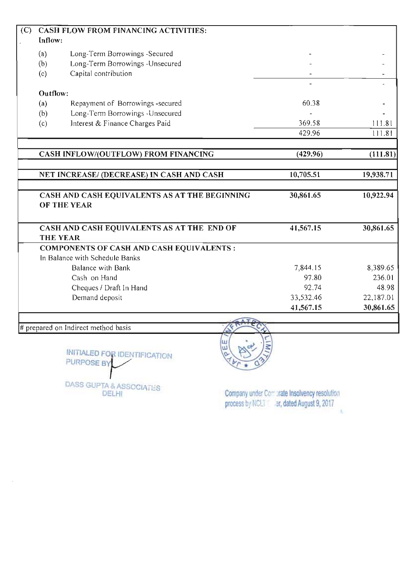| (C) |          | CASH FLOW FROM FINANCING ACTIVITIES:                          |           |           |
|-----|----------|---------------------------------------------------------------|-----------|-----------|
|     | Inflow:  |                                                               |           |           |
|     | (a)      | Long-Term Borrowings -Secured                                 |           |           |
|     | (b)      | Long-Term Borrowings -Unsecured                               |           |           |
|     | (c)      | Capital contribution                                          |           |           |
|     |          |                                                               |           |           |
|     | Outflow: |                                                               |           |           |
|     | (a)      | Repayment of Borrowings -secured                              | 60.38     |           |
|     | (b)      | Long-Term Borrowings -Unsecured                               |           |           |
|     | (c)      | Interest & Finance Charges Paid                               | 369.58    | 111.81    |
|     |          |                                                               | 429.96    | 111.81    |
|     |          | CASH INFLOW/(OUTFLOW) FROM FINANCING                          | (429.96)  | (111.81)  |
|     |          |                                                               |           |           |
|     |          | NET INCREASE/ (DECREASE) IN CASH AND CASH                     | 10,705.51 | 19,938.71 |
|     |          |                                                               |           |           |
|     |          | CASH AND CASH EQUIVALENTS AS AT THE BEGINNING                 | 30,861.65 | 10,922.94 |
|     |          | OF THE YEAR                                                   |           |           |
|     |          | CASH AND CASH EQUIVALENTS AS AT THE END OF<br><b>THE YEAR</b> | 41,567.15 | 30,861.65 |
|     |          | <b>COMPONENTS OF CASH AND CASH EQUIVALENTS:</b>               |           |           |
|     |          | In Balance with Schedule Banks                                |           |           |
|     |          | Balance with Bank                                             | 7,844.15  | 8,389.65  |
|     |          | Cash on Hand                                                  | 97.80     | 236.01    |
|     |          | Cheques / Draft In Hand                                       | 92.74     | 48.98     |
|     |          | Demand deposit                                                | 33,532.46 | 22,187.01 |
|     |          |                                                               | 41,567.15 | 30,861.65 |
|     |          |                                                               |           |           |
|     |          | # prepared on Indirect method basis                           |           |           |
|     |          |                                                               |           |           |

INITIALED FOR IDENTIFICATION PURPOSE BY Į

DASS GUPTA & ASSOCIATI-S DELHI



Company under Comprate Insolvency resolution process by NCLT . ar, dated August 9, 2017 W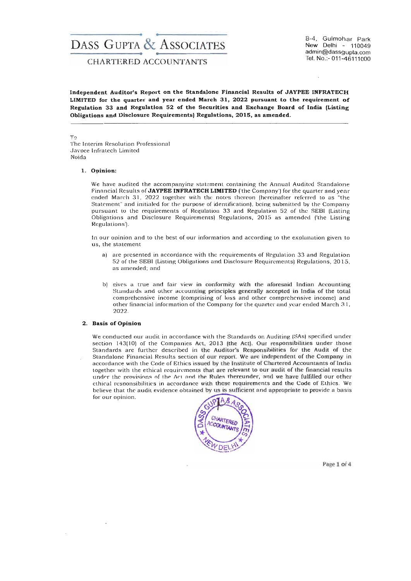## DASS GUPTA & ASSOCIATES

CHARTERED ACCOUNTANTS Tel. No.:- 011-46111000

8-4. Gulmohar Park New Delhi - 110049 admin@dassgupta.com

Independent Auditor's Report on the Standalone Financial Results of JAYPEE INFRATECH LIMITED for the quarter and year ended March 31, 2022 pursuant to the requirement of Regulation 33 and Regulation 52 of the Securities and Exchange Board of India (Listing Obligations and Disclosure Requirements) Regulations, 2015, as amended.

To

The Interim Resolution Professional Jaypee Infratech Limited Noida

#### 1. Opinion:

We have audited the accompanying statement containing the Annual Audited Standalone Financial Results of JAYPEE INFRATECH LIMITED ('the Company') for the quarter and year ended March 31, 2022 together with the notes thereon (hereinafter referred to as <sup>"the</sup> Statement" and initialed for the purpose of identification), being submitted by the Company pursuant to the requirements of Regulation 33 and Regulation 52 of the SEBI (Listing Obligations and Disclosure Requirements) Regulations, 2015 as amended ('the Listing Regu lations').

In our opinion and to the best of our information and according to the explanation given to us, the statement

- a) are presented in accordance with the requirements of Regulation 33 and Regulation 52 of the SEBI (Listing Obligations and Disclosure Requirements) Regulations, 2015, as amended; and
- b) gives a true and fair view in conformity with the aforesaid Indian Accounting Standards and other accounting principles generally accepted in India of the total comprehensive income (comprising of loss and other comprehensive income) and other financial information of the Company for the quarter and year ended March 3 I, 2022.

#### 2. Basis of Opinion

We conducted our audit in accordance with the Standards on Auditing (SAs) s pecified under section  $143(10)$  of the Companies Act,  $2013$  (the Act). Our responsibilities under those Standards are further described in the Auditor's Responsibilities for the Audit of the Standalone Financial Results section of our report. We are independent of the Company in accordance with the Code of Ethics issued by the Institute of Chartered Accountants of India together with the ethical requirements that are relevant to our audit of the financial results under the provisions of the Act and the Rules thereunder, and we have fulfilled our other cthical rcsponsibilitics in accordance with these requirements and the Code of Ethics. We believe that the audit evidence obtained by us is sufficient and appropriate to provide a basis for our opinion.



Page 1 of 4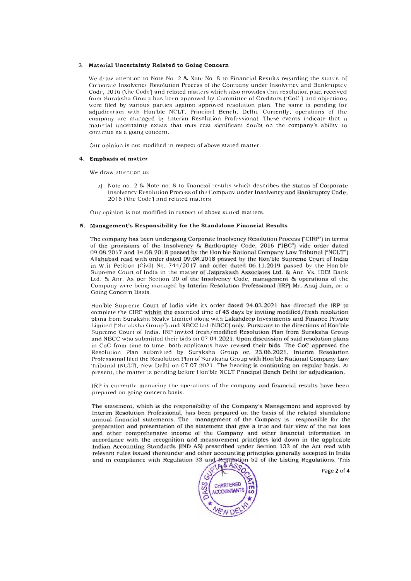#### 3. **Material Uncertainty Related to Going Concern**

We draw attention to Note No. 2 & Note No. 8 to Financial Results regarding the status of Corporate Insolvency Resolution Process of the Company under Insolvency and Bankruptcy Code, 2016 ('the Code') and related matters which also provides that resolution plan received from Suraksha Group has been approved by Committee of Creditors ("CoC") and objections were filed by various parties against approved resolution plan. The same is pending for adjudication with Hon'ble NCLT, Principal Bench, Delhi. Currently, operations of the company are managed by Interim Resolution Professional. These events indicate that a material uncertainty exists that may cast significant doubt on the company's ability to continue as a going concern.

Our opinion is not modified in respect of above stated matter.

#### 4. **Emphasis of matter**

We draw attention to:

a) Note no. 2  $\&$  Note no. 8 to financial results which describes the status of Corporate Insolvency Resolution Process of the Company under Insolvency and Bankruptcy Code, 2016 ('the Code') and related matters.

Our opinion is not modified in respect of above stated matters.

#### 5. **Management's Responsibility for the Standalone Financial Results**

The company has been undergoing Corporate Insolvency Resolution Process ("CIRP") in terms of the provisions of the Insolvency &, Bankruptcy Code, 2016 ("!BC") vide order dated 09.08.2017 and 14.08.2018 passed by the Hon'ble National Company Law Tribunal ("NCLT") Allahabad read with order dated 09.08.2018 passed by the Hon'ble Supreme Court of India in Writ Petition (Civil) No. 744/2017 and order dated 06.11.2019 passed by the Hon'ble Supreme Court of India in the matter of Jaiprakash Associates Ltd. & Anr. Vs. IDBI Bank Ltd. & Anr. As per Section 20 of the Insolvency Code, management & operations of the Company were being managed by Interim Resolution Professional (IRP) Mr. Anuj Jain, on a Going Concern Basis.

Hon'ble Supreme Court of India vide its order dated 24.03.2021 has directed the IRP to complete the CIRP within the extended time of 45 days by inviting modified/fresh resolution plans from Suraksha Realty Limited along with Lakshdeep Investments and Finance Private Limited ("Suraksha Group") and NBCC Ltd (NBCC) only. Pursuant to the directions of Hon'ble Supreme Court of India, IRP invited fresh/modified Resolution Plan from Suraksha Group and NBCC who submitted their bids on 07.04. 202 1. Upon discussion of said resolution plans in CoC from time to time, both applicants have revised their bids. The CoC approved the Resolution Plan submitted by Suraksha Group on 23.06.2021. Interim Resolution Professional filed the Resolution Plan of Suraksha Group with Hon'ble National Company Law Tribunal (NCLT), New Delhi on 07.07.2021. The hearing is continuing on regular basis. At present, the matter is pending before Hon'ble NCLT Principal Bench Delhi for adjudication.

IRP is currently managing the operations of the company and financial results have been prepared on going concern basis.

The statement, which is the responsibility of the Company's Management and approved by Interim Resolution Professional, has been prepared on the basis of the related standalone annual financial statements. The management of the Company is responsible for the preparation and presentation of the statement that give a true and fair view of the net loss and other comprehensive income of the Company and other financial information in accordance with the recognition and measurement principles laid down in the applicable Indian Accounting Standards (IND AS) prescribed under Section 133 of the Act read with relevant rules issued thereunder and other accounting principles generally accepted in India a nevent rules issued thereunder and other accounting principles generally accepted in mula<br>nd in compliance with Regulation 33 and Regulation 52 of the Listing Regulations. This



 $\overline{P}$ age 2 of 4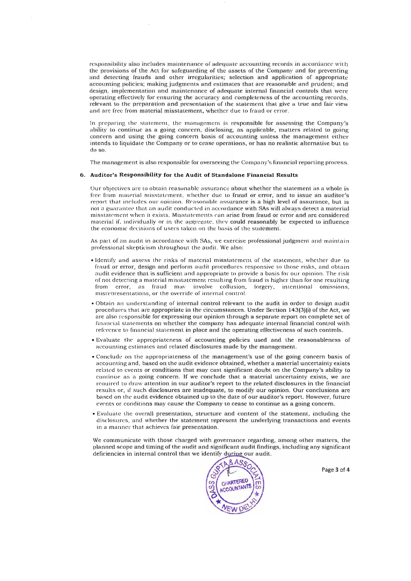responsibility also includes maintenance of adequate accounting records in accordance with the provisions of the Act for safeguarding of the assets of the Company and for preventing and detecting frauds and other irregularities; selection and application of appropriate accounting policies; making judgments and estimates that are reasonable and prudent; and design, implementation and maintenance of adequate internal financial controls that were operating effectively for ensuring the accuracy and completeness of the accounting records, relevant to the preparation and presentation of the statement that give a true and fair view and are free from material misstatement, whether due to fraud or error.

In preparing the statement, the management is responsible for assessing the Company 's ability to continue as a going concern, disclosing, as applicable, matters related to going concern and using the going concern basis of accounting unless the management either intends to liquidate the Company or to cease operations, or has no realistic alternative but to do so.

The management is also responsible for overseeing the Company's financial reporting process.

#### 6. **Auditor's Re sponsibilit y for the Audit of Standalone Financ ial Results**

Our objectives are to obtain reasonable assurance about whether the statement as a whole is free from material misstatement, whether due to fraud or error, and to issue an auditor's report that includes our opinion. Reasonable assurance is a high level of assurance, but is not a guarantee that an audit conducted in accordance with SAs will always detect a material misstatement when it exists. Misstatements can arise from fraud or error and are considered material if, individually or in the aggregate, they could reasonably be expected to influence the economic decisions of users taken on the basis of the statement.

As part of an audit in accordance with SAs, we exercise professional judgment and maintain professional skepticism throughout the audit. We also:

- Identify and assess the risks of material misstatement of the statement, whether due to fraud or error, design and perform audit procedures responsive to those risks, and obtain audit evidence that is sufficient and appropriate to provide a basis for our opinion. The risk of not detecting a material misstatement resulting from fraud is higher than for one resulting from error, as fraud may involve collusion, forgery, intentional omissions, misrepresentations, or the override of internal control.
- Obtain an understanding of internal control relevant to the audit in order to design audit procedures that are appropriate in the circumstances. Under Section 143(3)(i) of the Act, we are also responsible for expressing our opinion through a separate report on complete set of financial statements on whether the company has adequate internal financial control with reference to financial statement in place and the operating effectiveness of such controls.
- Evaluate the appropriateness of accounting policies used and the reasonableness of accounting estimates and related disclosures made by the management.
- Conclude on the appropriateness of the management's use of the going concern basis of accounting and, based on the audit evidence obtained, whether a material uncertainty exists related to events or conditions that may cast significant doubt on the Company's ability to continue as a going concern. If we conclude that a material uncertainty exists, we are required to draw attention in our auditor's report to the related disclosures in the financial results or, if such disclosures are inadequate, to modify our opinion. Our conclusions are based on the audit evidence obtained up to the date of our auditor's report. However, future events or conditions may cause the Company to cease to continue as a going concern.
- Evaluate the overall presentation, structure and content of the statement, including the disclosures, and whether the statement represent the underlying transactions and events in a manner that achieves fair presentation.

We communicate with those charged with governance regarding, among other matters, the planned scope and timing of the audit and significant audit findings, including any significant deficiencies in internal control that we identify during our audit.



Page 3 of 4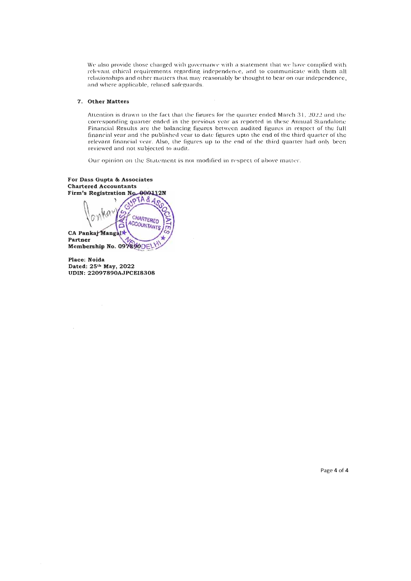We are leading that governance with governance with governance with a statement that the that that  $\alpha$ relso provide those charged with governance, with a statement that we have complied with relevant ethical requirements regarding independence, and to communicate with them all relationships and other matters that may reasonably be thought to bear on our independence, and where applicable, related safeguards.

 $\bar{z}$ 

#### 7" **Other Matters**

At te ntion is drawn to the fact that the fit guardian  $\sigma$  and  $\sigma$  is defined matrix for ended  $\sigma$  and the  $\sigma$ cention is drawn to the fact that the figures for the quarter ended March  $31, 2022$  and the corresponding quarter ended in the previous year as reported in these Annual Standalone Financial Results are the balancing figures between audited figures in respect of the full financial year and the published year to date figures upto the end of the third quarter of the relevant financial vear. Also, the figures up to the end of the third quarter had only been reviewed and not subjected to audit.

Our opinion on the Statement is not modified in respect of above matter.

For Dass Gupta & Associates **Chartered Accountants** Firm's Registration No. 000112N  $pTA&A$ **CHARTERED** ACCOUNTANTS **CA Panka" Partner**  Partner<br>Membership No. 097890DELY

**Place: Noida Dated: 25th May, 2022 uted:**  $25^{\text{th}}$  May,  $2022$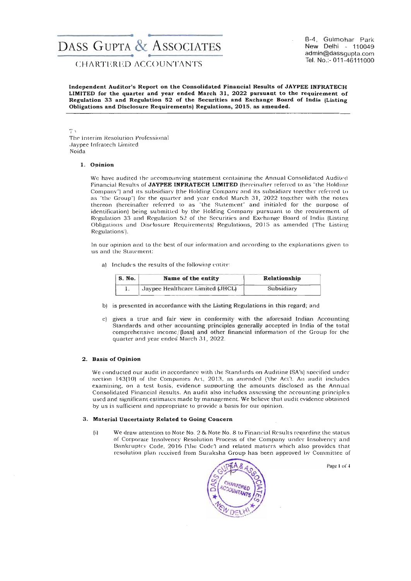# **DASS GUPTA & ASSOCIATES**<br>CHARTERED ACCOUNTANTS

and the second of the second contract of the second of the second second second second second second second second second second second second second second second second second second second second second second second se B-4, Gulmohar Park<br>New Delhi - 110049 admin@dassgupta.com Tel. No.:- 011-46111000

Independent Auditor's Report on the Consolidated Financial Results of JAVPEE INFRATECH LIMITED for the quarter and year ended March 31, 2022 pursuant to the requirement of Regulation 33 and Regulation 52 of the Securities and Exchange Board of India (Listing Obligations and Disclosure Requirements) Regulations, 2015, as amended.

To

The Interim Resolution Professional Jaypee [nfratech Limited Noida

#### 1. Opinion

We have audited the accompanying statement containing the Annual Consolidated Audited Financial Results of JAYPEE INFRATECH LIMITED (hereinafter referred to as "the Holding Company") and its subsidiary (the Holding Company and its subsidiary together referred to as "the Group") for the quarter and year ended March 31, 2022 together with the notes thereon (hereinafter referred to as "the Statement" and initialed for the purpose of identification) being submitted by the Holding Company pursuant to the requirement of Regulation 33 and Regulation 52 of the Securities and Exchange Board of India (Listing Obligations and Disclosure Requirements) Regulations, 2015 as amended ('The Listing Regulations').

In our opinion and to the best of our information and according to the explanations given to us and the Statement:

a) Includes the results of the following entity:

| S. No. | Name of the entity               | Relationship |  |
|--------|----------------------------------|--------------|--|
| ī.     | Jaypee Healthcare Limited (JHCL) | Subsidiary   |  |

- b) is presented in accordance with the Listing Regulations in this regard; and
- c) gives a true and fair view in conformity with the aforesaid Indian Accounting Standards and other accounting principles generally accepted in India of the total comprehensive income/(Ioss) and olher financial information of the Group for the quarter and year ended March 31, 2022.

#### 2. Basis of Opinion

We conducted our audit in accordance with the Standards on Auditing (SA's) specified under section 143(10) of the Companies Act, 2013, as amended ('the Act'). An audit includes examining, on a test basis, evidence supporting the amounts disclosed as the Annual Consolidated Financial Results. An audit also includes assessing the accounting principles used and significant estimates made by management. We believe that audit evidence obtained by us is sufficient and appropriate to provide a basis for our opinion.

#### 3. Material Uncertainty Related to Going Concern

(i) We draw attention to Note No. 2 & Note NO.8 to Financial Results regarding the status of Corporate Insolvency Resolution Process of the Company under Insolvency and Bankruptcy Code, 2016 ('the Code') and related matters which also provides that resolution plan received from Suraksha Group has been approved by Committee of



Page 1 of 4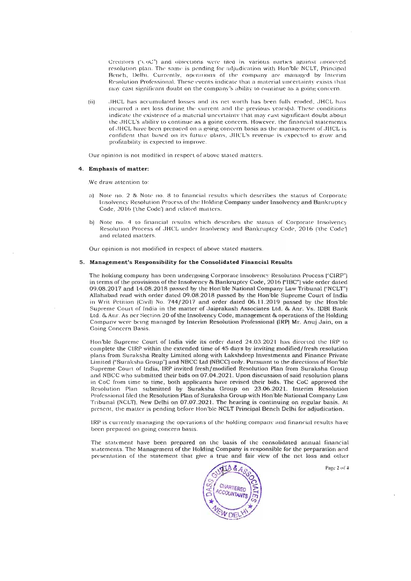Creditors  $(\neg \text{U} \circ \text{U}')$  and objections were filed by various parties against approved resolution plan. The same is pending for adjudication with Hon'ble NCLT, Principal Bench, Delhi. Currently, operations of the company are managed by Interim Resolution Professional. These events indicate that a material uncertainty exists that may cast significant doubt on the company's ability to continue as a going concern.

(ii) JHCL has accumulated losses and its net worth has been fully eroded, JHCL has incurred a net loss during the current and the previous years(s). These conditions indicate the existence of a material uncertainty that may cast significant doubt about the JHCL's ability to continue as a going concem. However, the financial statements of JHCL have been prepared on a going concern basis as the management of JHCL is confident that based on its future plans, JHCL's revenue is expected to grow and profitability is expected to improve.

Our opinion is not modified in respect of above stated matters.

#### 4. **Emphasis of matter:**

.We draw attention to:

- a) Note no. 2 & Note no. 8 to financial results which describes the status of Corporate Insolvency Resolution Process of the Holding Company under Insolvency and Bankruptcy Code, 2016 ('the Code') and related matters.
- b) Note no. 4 to financial results which describes the status of Corporate Insolvency Resolution Process of JHCL under Insolvency and Bankruptcy Code, 2016 ('the Code') and related matters.

Our opinion is not modified in respect of above stated matters.

#### 5. **Management's Responsibility for the Consolidated Financial Results**

The holding company has been undergoing Corporate Insolvency Resolution Process ("CIRP") in terms of the provisions of the Insolvency & Bankruptcy Code, 2016 ("!BC") vide order dated 09.08.2017 and 14.08.2018 passed by the Hon'ble National Company Law Tribunal ("NCLT") Allahabad read with order dated 09.08.2018 passed by the Hon'ble Supreme Court of Inelia in Writ Petition (Civil) No. 744/2017 and order dated 06.11.2019 passed by the Hon'ble Supreme Court of India in the matter of Jaiprakash Associates Ltd. & Anr. Vs. IDBI Bank Ltd. & Am. As per Section 20 of the Insolvency Code, management & operations of the Holding Company were being managed by Interim Resolution Professional (IRP) Mr. Anuj Jain, on a Going Concern Basis.

Hon'ble Supreme Court of India vide its order dated 24.03.2021 has directed the IRP to complete the CIRP within the extended time of 45 days by inviting modified/fresh resolution plans from Suraksha Realty Limited along with Lakshdeep Investments and Finance Private Limited ("Suraksha Group") and NBCC Ltd (NBCC) only. Pursuant to the directions of Hon'ble Supreme Court of India, IRP invited fresh/modified Resolution Plan from Suraksha Group and NBCC who submitted their bids on 07.04.2021. Upon discussion of said resolution plans in CoC from time to time , both applicants have revised their bids. The CoC approved the Resolution Plan submitted by Suraksha Group on 23.06.2021. Interim Resolution Professional filed the Resolution Plan of Suraksha Group with Hon'ble National Company Law Tribunal (NCLT), New Delhi on 07.07.2021. The hearing is continuing on regular basis. At present, the matter is pending before Hon'ble NCLT Principal Bench Delhi for adjudication .

IRP is currently managing the operations of the holding company and financial results have been prepared on going concern basis.

The statement have been prepared on the basis of the consolidated annual financial statements. The Management of the Holding Company is responsible for the preparation and presentation of the statement that give a true and fair view of the net loss and other



Page  $2$  of  $4$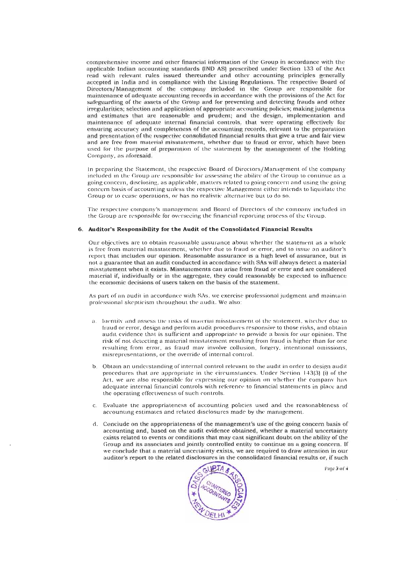comprehensive income and other financial information of the Group in accordance with the applicable Indian accounting standards (IND AS) prescribed under Section 133 of the Act read with relevant rules issued thereunder and other accounting principles generally accepted in India and in compliance with the Listing Regulations. The respective Board of Directors/Management of the company included in the Group are responsible for maintenance of adequate accounting records in accordance with the provisions of the Act for safeguarding of the assets of the Group and for preventing and detecting frauds and other irregularities; selection and application of appropriate accounting policies; making judgments and estimates that are reasonable and prudent; and the design, implementation and maintenance of adequate internal financial controls, that were operating effectively for ensuring accuracy and completeness of the accounting records, relevant to the preparation and presentation of the respective consolidated financial results that give a true and fair view and are free from material misstatement, whether due to fraud or error, which have been used for the purpose of preparation of the statement by the management of the Holding Company, as aforesaid.

In preparing the Statement, the respective Board of Directors/Management of the company included in the Group arc responsible for assessing the ability of the Group to continue as a going concern, disclosing, as applicable, matters related to going concern and using the going concern basis of accounting unless the respective Management either intends to liquidate the Group or to cease operations, or has no realistic alternative but to do so.

The respective company's management and Board of Directors of the company included in the Group are responsible for overseeing the financial reponing process of the Gmup.

#### 6. **Auditor's Responsibility for the Audit of the Consolidated Financial Results**

Our objectives are to obtain reasonable assurance about whether the statement as a whole is free from material misstatement, whether due to fraud or error, and to issue an auditor's report that includes our opinion. Reasonable assurance is a high level of assurance, but is not a guarantee that an audit conducted in accordance with SAs will always detect a material misstatement when it exists. Misstatements can arise from fraud or en'or and are considered material if, individually or in the aggregate, they could reasonably be expected to influence the economic decisions of users taken on the basis of the statement.

As part of an audit in accordance with SAs, we exercise professional judgment and maintain professional skepticism throughout the audit. We also:

- a. Identify and assess the risks of material misstatement of the statement, whether due to fraud or error, design and perform audit procedures responsive to those risks, and obtain a udit evidence that is sufficient and appropriate to provide a basis for our opinion. The risk of not detecting a material misstatement resulting from fraud is higher than for one resulting from error, as fraud may involve collusion, forgery, intentional omissions, misrepresentations, or the override of internal control.
- b. Obtain an understanding of internal control relevant to the audit in order to design audit procedures that are appropriate in the circumstances. Under Section 143(3) (i) of the Act, we are also responsible for expressing our opinion on whether the company has adequate internal financial controls with reference to financial statements in place and the operating effectiveness of such controls.
- c. Eval uate the a ppropriateness of accounting policies used and the reasonableness of accounting estimates and related disclosures made by the management.
- d. Conclude on the appropriateness of the management's use of the going concern basis of accounting and, based on the audit evidence obtained, whether a material uncertainty exists related to events or conditions that may cast significant doubt on the ability of the Group and its associates and jointly controlled entity to continue as a going concern. If we conclude that a material uncertainty exists, we are required to draw attention in our auditor's report to the related disclosures in the consolidated financial results or, if such



Page 3 of 4